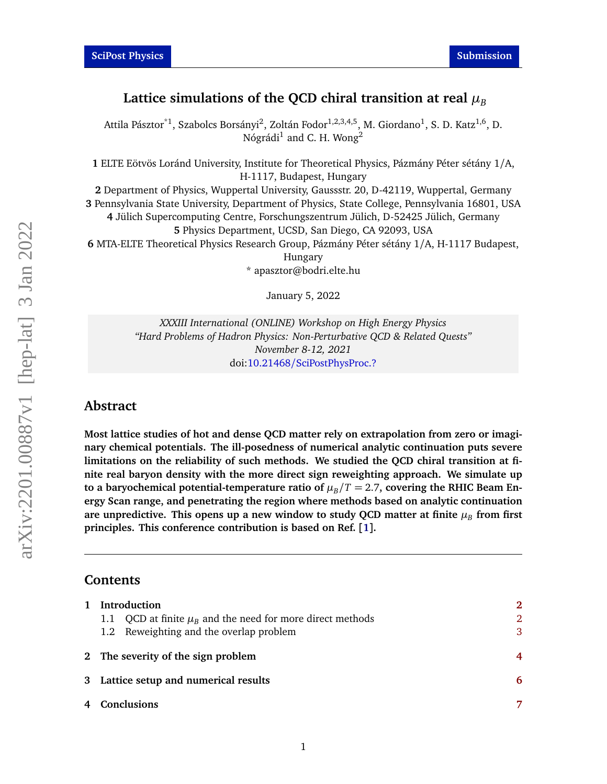# Lattice simulations of the QCD chiral transition at real  $\mu_B$

Attila Pásztor $^{\ast1}$ , Szabolcs Borsányi $^2$ , Zoltán Fodor $^{1,2,3,4,5}$ , M. Giordano $^1$ , S. D. Katz $^{1,6}$ , D. Nógrádi $^1$  and C. H. Wong $^2$ 

**1** ELTE Eötvös Loránd University, Institute for Theoretical Physics, Pázmány Péter sétány 1/A, H-1117, Budapest, Hungary

 Department of Physics, Wuppertal University, Gaussstr. 20, D-42119, Wuppertal, Germany Pennsylvania State University, Department of Physics, State College, Pennsylvania 16801, USA Jülich Supercomputing Centre, Forschungszentrum Jülich, D-52425 Jülich, Germany Physics Department, UCSD, San Diego, CA 92093, USA MTA-ELTE Theoretical Physics Research Group, Pázmány Péter sétány 1/A, H-1117 Budapest, Hungary \* apasztor@bodri.elte.hu

January 5, 2022

*XXXIII International (ONLINE) Workshop on High Energy Physics "Hard Problems of Hadron Physics: Non-Perturbative QCD & Related Quests" November 8-12, 2021* doi:10.21468/[SciPostPhysProc.?](https://doi.org/10.21468/SciPostPhysProc.?)

# **Abstract**

**Most lattice studies of hot and dense QCD matter rely on extrapolation from zero or imaginary chemical potentials. The ill-posedness of numerical analytic continuation puts severe limitations on the reliability of such methods. We studied the QCD chiral transition at finite real baryon density with the more direct sign reweighting approach. We simulate up** to a baryochemical potential-temperature ratio of  $\mu_B/T = 2.7$ , covering the RHIC Beam En**ergy Scan range, and penetrating the region where methods based on analytic continuation** are unpredictive. This opens up a new window to study QCD matter at finite  $\mu_B$  from first **principles. This conference contribution is based on Ref. [[1](#page-7-0)].**

#### **Contents**

| $\mathbf{1}$ | Introduction                                                   | $\mathbf{2}$   |
|--------------|----------------------------------------------------------------|----------------|
|              | 1.1 QCD at finite $\mu_R$ and the need for more direct methods | $\overline{2}$ |
|              | 1.2 Reweighting and the overlap problem                        | 3              |
|              | 2 The severity of the sign problem                             | 4              |
|              | 3 Lattice setup and numerical results                          | 6              |
|              | 4 Conclusions                                                  | 7              |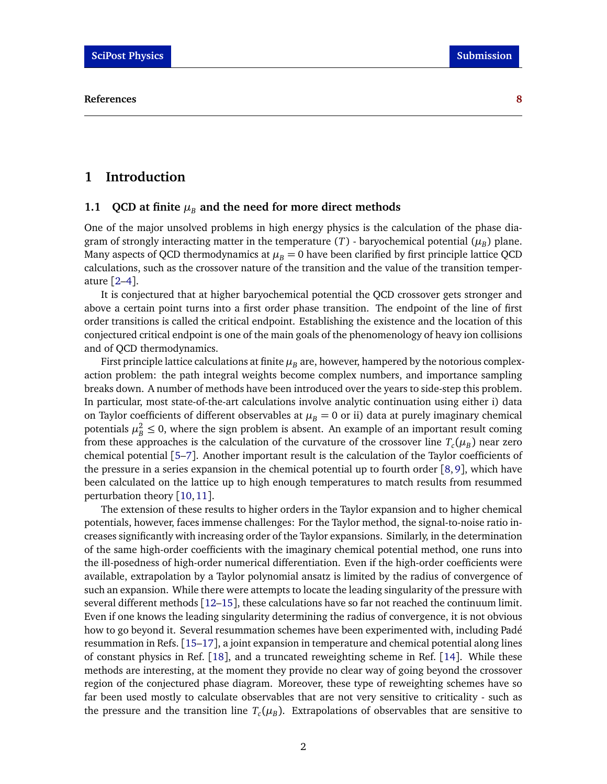# <span id="page-1-0"></span>**1 Introduction**

### <span id="page-1-1"></span>**1.1 QCD** at finite  $\mu_B$  and the need for more direct methods

One of the major unsolved problems in high energy physics is the calculation of the phase diagram of strongly interacting matter in the temperature  $(T)$  - baryochemical potential  $(\mu_B)$  plane. Many aspects of QCD thermodynamics at  $\mu_B = 0$  have been clarified by first principle lattice QCD calculations, such as the crossover nature of the transition and the value of the transition temperature [[2](#page-7-1)[–4](#page-7-2)].

It is conjectured that at higher baryochemical potential the QCD crossover gets stronger and above a certain point turns into a first order phase transition. The endpoint of the line of first order transitions is called the critical endpoint. Establishing the existence and the location of this conjectured critical endpoint is one of the main goals of the phenomenology of heavy ion collisions and of QCD thermodynamics.

First principle lattice calculations at finite  $\mu_B$  are, however, hampered by the notorious complexaction problem: the path integral weights become complex numbers, and importance sampling breaks down. A number of methods have been introduced over the years to side-step this problem. In particular, most state-of-the-art calculations involve analytic continuation using either i) data on Taylor coefficients of different observables at  $\mu_B = 0$  or ii) data at purely imaginary chemical potentials  $\mu_B^2 \leq 0$ , where the sign problem is absent. An example of an important result coming from these approaches is the calculation of the curvature of the crossover line  $T_c(\mu_B)$  near zero chemical potential [[5–](#page-8-0)[7](#page-8-1)]. Another important result is the calculation of the Taylor coefficients of the pressure in a series expansion in the chemical potential up to fourth order [[8,](#page-8-2)[9](#page-8-3)], which have been calculated on the lattice up to high enough temperatures to match results from resummed perturbation theory [[10,](#page-8-4)[11](#page-8-5)].

The extension of these results to higher orders in the Taylor expansion and to higher chemical potentials, however, faces immense challenges: For the Taylor method, the signal-to-noise ratio increases significantly with increasing order of the Taylor expansions. Similarly, in the determination of the same high-order coefficients with the imaginary chemical potential method, one runs into the ill-posedness of high-order numerical differentiation. Even if the high-order coefficients were available, extrapolation by a Taylor polynomial ansatz is limited by the radius of convergence of such an expansion. While there were attempts to locate the leading singularity of the pressure with several different methods [[12–](#page-8-6)[15](#page-8-7)], these calculations have so far not reached the continuum limit. Even if one knows the leading singularity determining the radius of convergence, it is not obvious how to go beyond it. Several resummation schemes have been experimented with, including Padé resummation in Refs. [[15–](#page-8-7)[17](#page-8-8)], a joint expansion in temperature and chemical potential along lines of constant physics in Ref. [[18](#page-8-9)], and a truncated reweighting scheme in Ref. [[14](#page-8-10)]. While these methods are interesting, at the moment they provide no clear way of going beyond the crossover region of the conjectured phase diagram. Moreover, these type of reweighting schemes have so far been used mostly to calculate observables that are not very sensitive to criticality - such as the pressure and the transition line  $T_c(\mu_B)$ . Extrapolations of observables that are sensitive to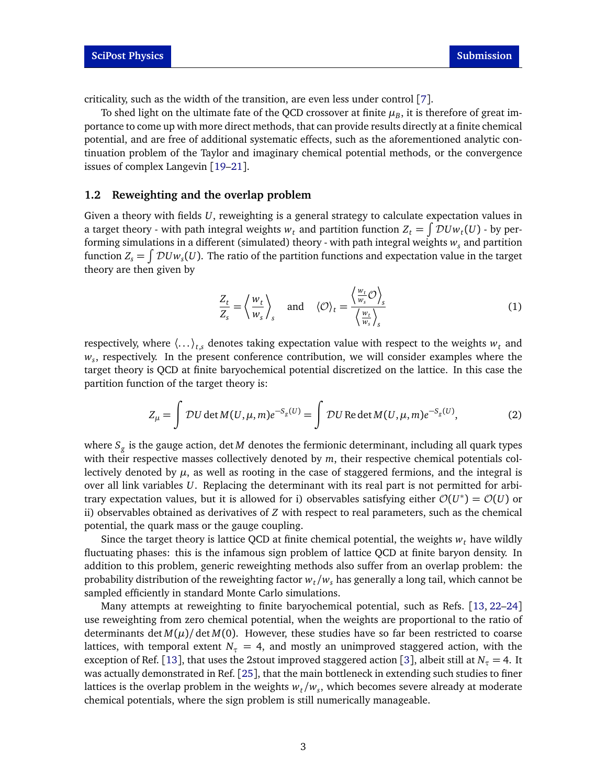criticality, such as the width of the transition, are even less under control [[7](#page-8-1)].

To shed light on the ultimate fate of the QCD crossover at finite  $\mu_{B}$ , it is therefore of great importance to come up with more direct methods, that can provide results directly at a finite chemical potential, and are free of additional systematic effects, such as the aforementioned analytic continuation problem of the Taylor and imaginary chemical potential methods, or the convergence issues of complex Langevin [[19](#page-9-0)[–21](#page-9-1)].

#### <span id="page-2-0"></span>**1.2 Reweighting and the overlap problem**

Given a theory with fields *U*, reweighting is a general strategy to calculate expectation values in a target theory - with path integral weights  $w_t$  and partition function  $Z_t = \int \mathcal{D}Uw_t(U)$  - by performing simulations in a different (simulated) theory - with path integral weights *w<sup>s</sup>* and partition function  $Z_s = \int \mathcal{D}Uw_s(U)$ . The ratio of the partition functions and expectation value in the target theory are then given by

<span id="page-2-1"></span>
$$
\frac{Z_t}{Z_s} = \left\langle \frac{w_t}{w_s} \right\rangle_s \quad \text{and} \quad \left\langle \mathcal{O} \right\rangle_t = \frac{\left\langle \frac{w_t}{w_s} \mathcal{O} \right\rangle_s}{\left\langle \frac{w_t}{w_s} \right\rangle_s} \tag{1}
$$

respectively, where  $\langle \ldots \rangle_{ts}$  denotes taking expectation value with respect to the weights  $w_t$  and *ws* , respectively. In the present conference contribution, we will consider examples where the target theory is QCD at finite baryochemical potential discretized on the lattice. In this case the partition function of the target theory is:

$$
Z_{\mu} = \int \mathcal{D}U \det M(U, \mu, m)e^{-S_g(U)} = \int \mathcal{D}U \operatorname{Re} \det M(U, \mu, m)e^{-S_g(U)}, \tag{2}
$$

where *S<sup>g</sup>* is the gauge action, det *M* denotes the fermionic determinant, including all quark types with their respective masses collectively denoted by *m*, their respective chemical potentials collectively denoted by  $\mu$ , as well as rooting in the case of staggered fermions, and the integral is over all link variables *U*. Replacing the determinant with its real part is not permitted for arbitrary expectation values, but it is allowed for i) observables satisfying either  $\mathcal{O}(U^*) = \mathcal{O}(U)$  or ii) observables obtained as derivatives of *Z* with respect to real parameters, such as the chemical potential, the quark mass or the gauge coupling.

Since the target theory is lattice QCD at finite chemical potential, the weights  $w_t$  have wildly fluctuating phases: this is the infamous sign problem of lattice QCD at finite baryon density. In addition to this problem, generic reweighting methods also suffer from an overlap problem: the probability distribution of the reweighting factor  $w_t/w_s$  has generally a long tail, which cannot be sampled efficiently in standard Monte Carlo simulations.

Many attempts at reweighting to finite baryochemical potential, such as Refs. [[13,](#page-8-11) [22–](#page-9-2)[24](#page-9-3)] use reweighting from zero chemical potential, when the weights are proportional to the ratio of determinants det  $M(\mu)$  det  $M(0)$ . However, these studies have so far been restricted to coarse lattices, with temporal extent  $N_\tau = 4$ , and mostly an unimproved staggered action, with the exception of Ref. [[13](#page-8-11)], that uses the 2stout improved staggered action [[3](#page-7-3)], albeit still at  $N_\tau = 4$ . It was actually demonstrated in Ref. [[25](#page-9-4)], that the main bottleneck in extending such studies to finer lattices is the overlap problem in the weights *wt/w<sup>s</sup>* , which becomes severe already at moderate chemical potentials, where the sign problem is still numerically manageable.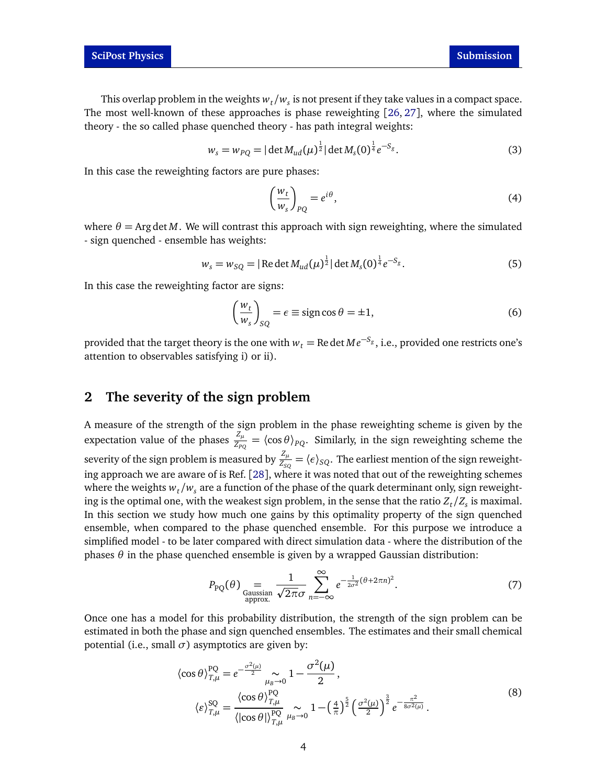This overlap problem in the weights  $w_t/w_s$  is not present if they take values in a compact space. The most well-known of these approaches is phase reweighting [[26,](#page-9-5) [27](#page-9-6)], where the simulated theory - the so called phase quenched theory - has path integral weights:

$$
w_s = w_{PQ} = |\det M_{ud}(\mu)^{\frac{1}{2}}| \det M_s(0)^{\frac{1}{4}} e^{-S_g}.
$$
 (3)

In this case the reweighting factors are pure phases:

$$
\left(\frac{w_t}{w_s}\right)_{PQ} = e^{i\theta},\tag{4}
$$

where  $\theta = \text{Arg det } M$ . We will contrast this approach with sign reweighting, where the simulated - sign quenched - ensemble has weights:

$$
w_s = w_{SQ} = |\operatorname{Re} \det M_{ud}(\mu)^{\frac{1}{2}}| \det M_s(0)^{\frac{1}{4}} e^{-S_g}.
$$
 (5)

In this case the reweighting factor are signs:

$$
\left(\frac{w_t}{w_s}\right)_{SQ} = \epsilon \equiv \text{sign}\cos\theta = \pm 1,\tag{6}
$$

provided that the target theory is the one with  $w_t = \mathrm{Re}\det M e^{-S_g},$  i.e., provided one restricts one's attention to observables satisfying i) or ii).

# <span id="page-3-0"></span>**2 The severity of the sign problem**

A measure of the strength of the sign problem in the phase reweighting scheme is given by the expectation value of the phases  $\frac{Z_\mu}{Z_{PQ}} = \langle \cos \theta \rangle_{PQ}$ . Similarly, in the sign reweighting scheme the severity of the sign problem is measured by  $\frac{Z_\mu}{Z_{SQ}}=\langle e\rangle_{SQ}.$  The earliest mention of the sign reweighting approach we are aware of is Ref. [[28](#page-9-7)], where it was noted that out of the reweighting schemes where the weights  $w_t/w_s$  are a function of the phase of the quark determinant only, sign reweighting is the optimal one, with the weakest sign problem, in the sense that the ratio  $Z_t/Z_s$  is maximal. In this section we study how much one gains by this optimality property of the sign quenched ensemble, when compared to the phase quenched ensemble. For this purpose we introduce a simplified model - to be later compared with direct simulation data - where the distribution of the phases  $θ$  in the phase quenched ensemble is given by a wrapped Gaussian distribution:

$$
P_{\rm PQ}(\theta) = \frac{1}{\text{Gaussian}} \frac{1}{\sqrt{2\pi}\sigma} \sum_{n=-\infty}^{\infty} e^{-\frac{1}{2\sigma^2}(\theta + 2\pi n)^2}.
$$
 (7)

Once one has a model for this probability distribution, the strength of the sign problem can be estimated in both the phase and sign quenched ensembles. The estimates and their small chemical potential (i.e., small  $\sigma$ ) asymptotics are given by:

$$
\langle \cos \theta \rangle_{T,\mu}^{\text{PQ}} = e^{-\frac{\sigma^2(\mu)}{2}} \sim_{\mu_B \to 0} 1 - \frac{\sigma^2(\mu)}{2},
$$
  

$$
\langle \varepsilon \rangle_{T,\mu}^{\text{SQ}} = \frac{\langle \cos \theta \rangle_{T,\mu}^{\text{PQ}}}{\langle |\cos \theta| \rangle_{T,\mu}^{\text{PQ}}} \sim_{\mu_B \to 0} 1 - \left(\frac{4}{\pi}\right)^{\frac{5}{2}} \left(\frac{\sigma^2(\mu)}{2}\right)^{\frac{3}{2}} e^{-\frac{\pi^2}{8\sigma^2(\mu)}}.
$$
 (8)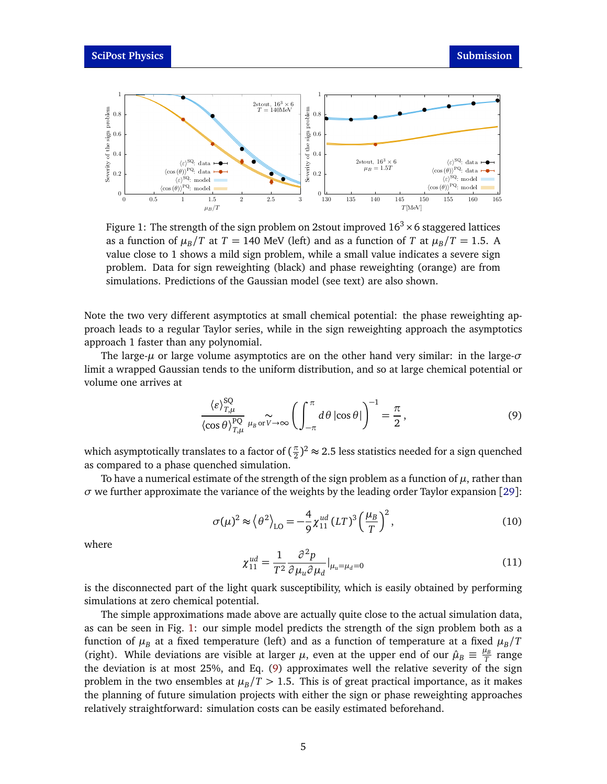<span id="page-4-0"></span>

Figure 1: The strength of the sign problem on 2stout improved  $16^3 \times 6$  staggered lattices as a function of  $\mu_B/T$  at  $T = 140$  MeV (left) and as a function of *T* at  $\mu_B/T = 1.5$ . A value close to 1 shows a mild sign problem, while a small value indicates a severe sign problem. Data for sign reweighting (black) and phase reweighting (orange) are from simulations. Predictions of the Gaussian model (see text) are also shown.

Note the two very different asymptotics at small chemical potential: the phase reweighting approach leads to a regular Taylor series, while in the sign reweighting approach the asymptotics approach 1 faster than any polynomial.

The large-*µ* or large volume asymptotics are on the other hand very similar: in the large-*σ* limit a wrapped Gaussian tends to the uniform distribution, and so at large chemical potential or volume one arrives at

<span id="page-4-1"></span>
$$
\frac{\langle \varepsilon \rangle_{T,\mu}^{\text{SQ}}}{\langle \cos \theta \rangle_{T,\mu}^{\text{PQ}}} \mu_{B} \circ \widetilde{v} \to \infty \left( \int_{-\pi}^{\pi} d\theta \left| \cos \theta \right| \right)^{-1} = \frac{\pi}{2}, \tag{9}
$$

which asymptotically translates to a factor of ( $\frac{\pi}{2}$  $\frac{\pi}{2}$ )<sup>2</sup>  $\approx$  2.5 less statistics needed for a sign quenched as compared to a phase quenched simulation.

To have a numerical estimate of the strength of the sign problem as a function of  $\mu$ , rather than  $\sigma$  we further approximate the variance of the weights by the leading order Taylor expansion [[29](#page-9-8)]:

$$
\sigma(\mu)^2 \approx \left\langle \theta^2 \right\rangle_{\text{LO}} = -\frac{4}{9} \chi_{11}^{\text{ud}} (LT)^3 \left( \frac{\mu_B}{T} \right)^2,\tag{10}
$$

where

$$
\chi_{11}^{ud} = \frac{1}{T^2} \frac{\partial^2 p}{\partial \mu_u \partial \mu_d} |_{\mu_u = \mu_d = 0}
$$
\n(11)

is the disconnected part of the light quark susceptibility, which is easily obtained by performing simulations at zero chemical potential.

The simple approximations made above are actually quite close to the actual simulation data, as can be seen in Fig. [1:](#page-4-0) our simple model predicts the strength of the sign problem both as a function of  $\mu_B$  at a fixed temperature (left) and as a function of temperature at a fixed  $\mu_B/T$ (right). While deviations are visible at larger  $\mu$ , even at the upper end of our  $\hat{\mu}_B \equiv \frac{\mu_B}{T}$  range the deviation is at most 25%, and Eq. [\(9\)](#page-4-1) approximates well the relative severity of the sign problem in the two ensembles at  $\mu_B/T > 1.5$ . This is of great practical importance, as it makes the planning of future simulation projects with either the sign or phase reweighting approaches relatively straightforward: simulation costs can be easily estimated beforehand.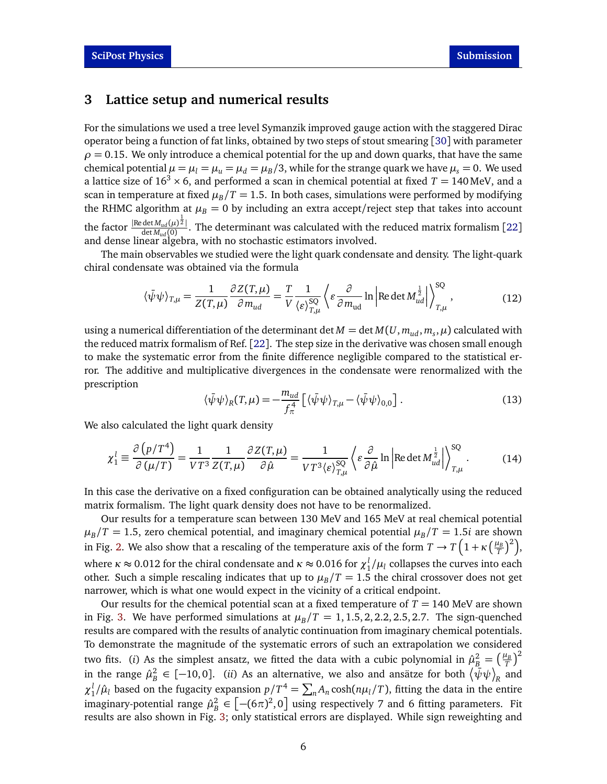### <span id="page-5-0"></span>**3 Lattice setup and numerical results**

For the simulations we used a tree level Symanzik improved gauge action with the staggered Dirac operator being a function of fat links, obtained by two steps of stout smearing [[30](#page-9-9)] with parameter  $\rho = 0.15$ . We only introduce a chemical potential for the up and down quarks, that have the same chemical potential  $\mu = \mu_l = \mu_u = \mu_d = \mu_B/3$ , while for the strange quark we have  $\mu_s = 0$ . We used a lattice size of  $16<sup>3</sup> \times 6$ , and performed a scan in chemical potential at fixed  $T = 140$  MeV, and a scan in temperature at fixed  $\mu_B/T = 1.5$ . In both cases, simulations were performed by modifying the RHMC algorithm at  $\mu_B = 0$  by including an extra accept/reject step that takes into account the factor  $\frac{|\text{Redet } M_{ud}(\mu)^{\frac{1}{2}}|}{\det M_{ud}(0)}$  $\frac{\det M_{ud}(p)^2}{\det M_{ud}(0)}$ . The determinant was calculated with the reduced matrix formalism [[22](#page-9-2)] and dense linear algebra, with no stochastic estimators involved.

The main observables we studied were the light quark condensate and density. The light-quark chiral condensate was obtained via the formula

$$
\langle \bar{\psi}\psi \rangle_{T,\mu} = \frac{1}{Z(T,\mu)} \frac{\partial Z(T,\mu)}{\partial m_{ud}} = \frac{T}{V} \frac{1}{\langle \varepsilon \rangle_{T,\mu}^{SQ}} \left\langle \varepsilon \frac{\partial}{\partial m_{ud}} \ln \left| \text{Re} \det M_{ud}^{\frac{1}{2}} \right| \right\rangle_{T,\mu}^{SQ},\tag{12}
$$

using a numerical differentiation of the determinant det  $M = \det M(U, m_{ud}, m_s, \mu)$  calculated with the reduced matrix formalism of Ref. [[22](#page-9-2)]. The step size in the derivative was chosen small enough to make the systematic error from the finite difference negligible compared to the statistical error. The additive and multiplicative divergences in the condensate were renormalized with the prescription

$$
\langle \bar{\psi}\psi \rangle_R(T,\mu) = -\frac{m_{ud}}{f_\pi^4} \left[ \langle \bar{\psi}\psi \rangle_{T,\mu} - \langle \bar{\psi}\psi \rangle_{0,0} \right]. \tag{13}
$$

We also calculated the light quark density

$$
\chi_1^l \equiv \frac{\partial (p/T^4)}{\partial (\mu/T)} = \frac{1}{VT^3} \frac{1}{Z(T,\mu)} \frac{\partial Z(T,\mu)}{\partial \hat{\mu}} = \frac{1}{VT^3 \langle \varepsilon \rangle_{T,\mu}^{SQ}} \left\langle \varepsilon \frac{\partial}{\partial \hat{\mu}} \ln \left| \text{Re} \det M_{ud}^{\frac{1}{2}} \right| \right\rangle_{T,\mu}^{SQ} . \tag{14}
$$

In this case the derivative on a fixed configuration can be obtained analytically using the reduced matrix formalism. The light quark density does not have to be renormalized.

Our results for a temperature scan between 130 MeV and 165 MeV at real chemical potential  $\mu_B/T = 1.5$ , zero chemical potential, and imaginary chemical potential  $\mu_B/T = 1.5i$  are shown in Fig. [2.](#page-6-1) We also show that a rescaling of the temperature axis of the form  $T \to T\left(1+\kappa\left(\frac{\mu_B}{T}\right)^2\right)$ , where  $\kappa \approx 0.012$  for the chiral condensate and  $\kappa \approx 0.016$  for  $\chi_1^l/\mu_l$  collapses the curves into each other. Such a simple rescaling indicates that up to  $\mu_B/T = 1.5$  the chiral crossover does not get narrower, which is what one would expect in the vicinity of a critical endpoint.

Our results for the chemical potential scan at a fixed temperature of *T* = 140 MeV are shown in Fig. [3.](#page-7-4) We have performed simulations at  $\mu_B/T = 1, 1.5, 2, 2.2, 2.5, 2.7$ . The sign-quenched results are compared with the results of analytic continuation from imaginary chemical potentials. To demonstrate the magnitude of the systematic errors of such an extrapolation we considered two fits. (*i*) As the simplest ansatz, we fitted the data with a cubic polynomial in  $\hat{\mu}^2_B = \left(\frac{\mu_B}{T}\right)^2$ in the range  $\hat{\mu}^2_B \in [-10, 0]$ . *(ii)* As an alternative, we also and ansätze for both  $\langle \bar{\psi} \psi \rangle_R$  and  $\chi_1^l/\hat{\mu}_l$  based on the fugacity expansion  $p/T^4 = \sum_n A_n \cosh(n\mu_l/T)$ , fitting the data in the entire imaginary-potential range  $\hat{\mu}^2_B \in \left[ -(6\pi)^2, 0 \right]$  using respectively 7 and 6 fitting parameters. Fit results are also shown in Fig. [3;](#page-7-4) only statistical errors are displayed. While sign reweighting and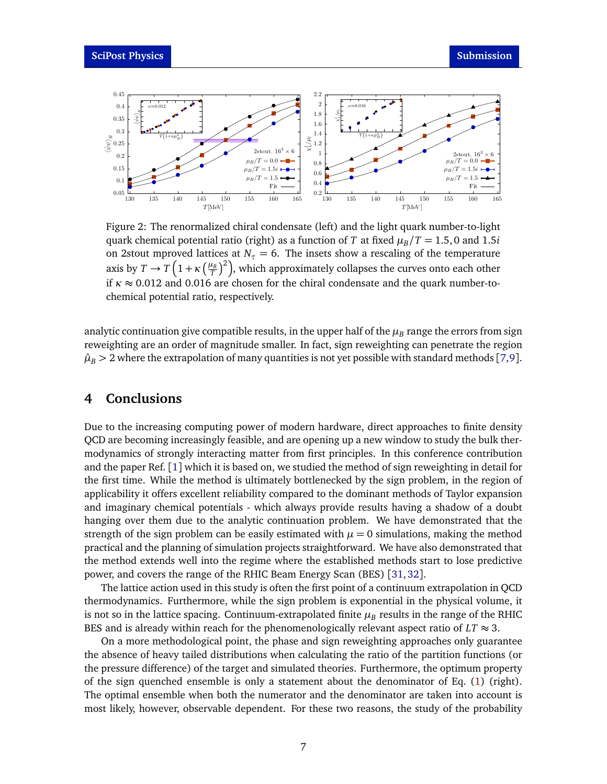<span id="page-6-1"></span>

Figure 2: The renormalized chiral condensate (left) and the light quark number-to-light quark chemical potential ratio (right) as a function of *T* at fixed  $\mu_B/T = 1.5$ , 0 and 1.5*i* on 2stout mproved lattices at  $N_\tau = 6$ . The insets show a rescaling of the temperature axis by  $T \to T\left(1+\kappa\left(\frac{\mu_B}{T}\right)^2\right)$ , which approximately collapses the curves onto each other if  $\kappa \approx 0.012$  and 0.016 are chosen for the chiral condensate and the quark number-tochemical potential ratio, respectively.

analytic continuation give compatible results, in the upper half of the  $\mu_B$  range the errors from sign reweighting are an order of magnitude smaller. In fact, sign reweighting can penetrate the region  $\hat{\mu}_B > 2$  where the extrapolation of many quantities is not yet possible with standard methods [[7,](#page-8-1)[9](#page-8-3)].

# <span id="page-6-0"></span>**4 Conclusions**

Due to the increasing computing power of modern hardware, direct approaches to finite density QCD are becoming increasingly feasible, and are opening up a new window to study the bulk thermodynamics of strongly interacting matter from first principles. In this conference contribution and the paper Ref. [[1](#page-7-0)] which it is based on, we studied the method of sign reweighting in detail for the first time. While the method is ultimately bottlenecked by the sign problem, in the region of applicability it offers excellent reliability compared to the dominant methods of Taylor expansion and imaginary chemical potentials - which always provide results having a shadow of a doubt hanging over them due to the analytic continuation problem. We have demonstrated that the strength of the sign problem can be easily estimated with  $\mu = 0$  simulations, making the method practical and the planning of simulation projects straightforward. We have also demonstrated that the method extends well into the regime where the established methods start to lose predictive power, and covers the range of the RHIC Beam Energy Scan (BES) [[31,](#page-9-10)[32](#page-9-11)].

The lattice action used in this study is often the first point of a continuum extrapolation in QCD thermodynamics. Furthermore, while the sign problem is exponential in the physical volume, it is not so in the lattice spacing. Continuum-extrapolated finite  $\mu_B$  results in the range of the RHIC BES and is already within reach for the phenomenologically relevant aspect ratio of  $LT \approx 3$ .

On a more methodological point, the phase and sign reweighting approaches only guarantee the absence of heavy tailed distributions when calculating the ratio of the partition functions (or the pressure difference) of the target and simulated theories. Furthermore, the optimum property of the sign quenched ensemble is only a statement about the denominator of Eq. [\(1\)](#page-2-1) (right). The optimal ensemble when both the numerator and the denominator are taken into account is most likely, however, observable dependent. For these two reasons, the study of the probability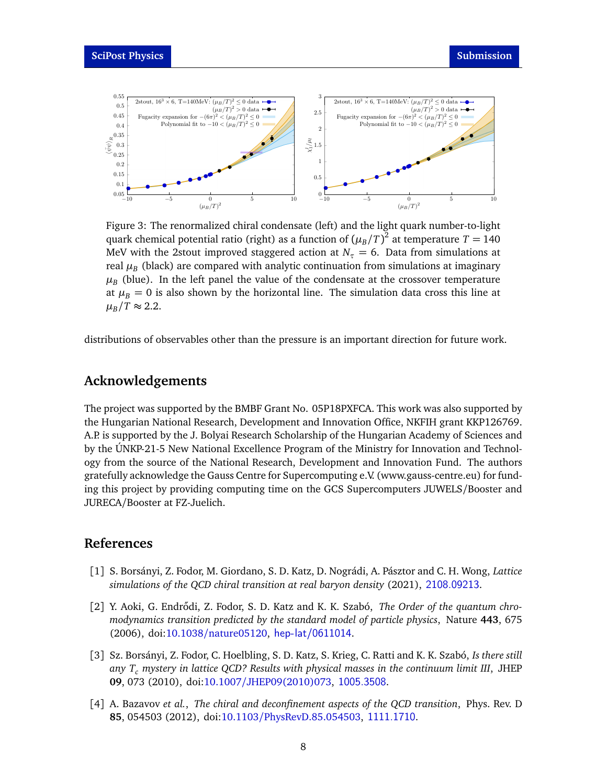<span id="page-7-4"></span>

Figure 3: The renormalized chiral condensate (left) and the light quark number-to-light quark chemical potential ratio (right) as a function of  $(\mu_B/T)^2$  at temperature  $T=140$ MeV with the 2stout improved staggered action at  $N_\tau = 6$ . Data from simulations at real  $\mu_B$  (black) are compared with analytic continuation from simulations at imaginary  $\mu_{B}$  (blue). In the left panel the value of the condensate at the crossover temperature at  $\mu_B = 0$  is also shown by the horizontal line. The simulation data cross this line at  $\mu_B/T \approx 2.2$ .

distributions of observables other than the pressure is an important direction for future work.

### **Acknowledgements**

The project was supported by the BMBF Grant No. 05P18PXFCA. This work was also supported by the Hungarian National Research, Development and Innovation Office, NKFIH grant KKP126769. A.P. is supported by the J. Bolyai Research Scholarship of the Hungarian Academy of Sciences and by the ÚNKP-21-5 New National Excellence Program of the Ministry for Innovation and Technology from the source of the National Research, Development and Innovation Fund. The authors gratefully acknowledge the Gauss Centre for Supercomputing e.V. (www.gauss-centre.eu) for funding this project by providing computing time on the GCS Supercomputers JUWELS/Booster and JURECA/Booster at FZ-Juelich.

## **References**

- <span id="page-7-0"></span>[1] S. Borsányi, Z. Fodor, M. Giordano, S. D. Katz, D. Nográdi, A. Pásztor and C. H. Wong, *Lattice simulations of the QCD chiral transition at real baryon density* (2021), <2108.09213>.
- <span id="page-7-1"></span>[2] Y. Aoki, G. Endrődi, Z. Fodor, S. D. Katz and K. K. Szabó, *The Order of the quantum chromodynamics transition predicted by the standard model of particle physics*, Nature **443**, 675 (2006), doi:10.1038/[nature05120,](https://doi.org/10.1038/nature05120) <hep-lat/0611014>.
- <span id="page-7-3"></span>[3] Sz. Borsányi, Z. Fodor, C. Hoelbling, S. D. Katz, S. Krieg, C. Ratti and K. K. Szabó, *Is there still any T<sup>c</sup> mystery in lattice QCD? Results with physical masses in the continuum limit III*, JHEP **09**, 073 (2010), doi:10.1007/[JHEP09\(2010\)073,](https://doi.org/10.1007/JHEP09(2010)073) <1005.3508>.
- <span id="page-7-2"></span>[4] A. Bazavov *et al.*, *The chiral and deconfinement aspects of the QCD transition*, Phys. Rev. D **85**, 054503 (2012), doi:10.1103/[PhysRevD.85.054503,](https://doi.org/10.1103/PhysRevD.85.054503) <1111.1710>.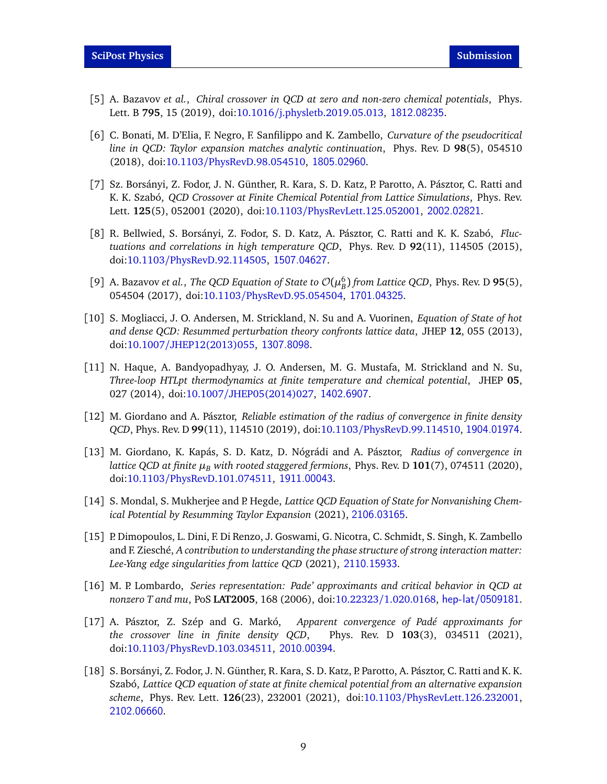- <span id="page-8-0"></span>[5] A. Bazavov *et al.*, *Chiral crossover in QCD at zero and non-zero chemical potentials*, Phys. Lett. B **795**, 15 (2019), doi:10.1016/[j.physletb.2019.05.013,](https://doi.org/10.1016/j.physletb.2019.05.013) <1812.08235>.
- [6] C. Bonati, M. D'Elia, F. Negro, F. Sanfilippo and K. Zambello, *Curvature of the pseudocritical line in QCD: Taylor expansion matches analytic continuation*, Phys. Rev. D **98**(5), 054510 (2018), doi:10.1103/[PhysRevD.98.054510,](https://doi.org/10.1103/PhysRevD.98.054510) <1805.02960>.
- <span id="page-8-1"></span>[7] Sz. Borsányi, Z. Fodor, J. N. Günther, R. Kara, S. D. Katz, P. Parotto, A. Pásztor, C. Ratti and K. K. Szabó, *QCD Crossover at Finite Chemical Potential from Lattice Simulations*, Phys. Rev. Lett. **125**(5), 052001 (2020), doi:10.1103/[PhysRevLett.125.052001,](https://doi.org/10.1103/PhysRevLett.125.052001) <2002.02821>.
- <span id="page-8-2"></span>[8] R. Bellwied, S. Borsányi, Z. Fodor, S. D. Katz, A. Pásztor, C. Ratti and K. K. Szabó, *Fluctuations and correlations in high temperature QCD*, Phys. Rev. D **92**(11), 114505 (2015), doi:10.1103/[PhysRevD.92.114505,](https://doi.org/10.1103/PhysRevD.92.114505) <1507.04627>.
- <span id="page-8-3"></span>[9] A. Bazavov *et al., The QCD Equation of State to*  $\mathcal{O}(\mu_B^6)$  *from Lattice QCD, Phys. Rev. D* **95**(5), 054504 (2017), doi:10.1103/[PhysRevD.95.054504,](https://doi.org/10.1103/PhysRevD.95.054504) <1701.04325>.
- <span id="page-8-4"></span>[10] S. Mogliacci, J. O. Andersen, M. Strickland, N. Su and A. Vuorinen, *Equation of State of hot and dense QCD: Resummed perturbation theory confronts lattice data*, JHEP **12**, 055 (2013), doi:10.1007/[JHEP12\(2013\)055,](https://doi.org/10.1007/JHEP12(2013)055) <1307.8098>.
- <span id="page-8-5"></span>[11] N. Haque, A. Bandyopadhyay, J. O. Andersen, M. G. Mustafa, M. Strickland and N. Su, *Three-loop HTLpt thermodynamics at finite temperature and chemical potential*, JHEP **05**, 027 (2014), doi:10.1007/[JHEP05\(2014\)027,](https://doi.org/10.1007/JHEP05(2014)027) <1402.6907>.
- <span id="page-8-6"></span>[12] M. Giordano and A. Pásztor, *Reliable estimation of the radius of convergence in finite density QCD*, Phys. Rev. D **99**(11), 114510 (2019), doi:10.1103/[PhysRevD.99.114510,](https://doi.org/10.1103/PhysRevD.99.114510) <1904.01974>.
- <span id="page-8-11"></span>[13] M. Giordano, K. Kapás, S. D. Katz, D. Nógrádi and A. Pásztor, *Radius of convergence in lattice QCD at finite µ<sup>B</sup> with rooted staggered fermions*, Phys. Rev. D **101**(7), 074511 (2020), doi:10.1103/[PhysRevD.101.074511,](https://doi.org/10.1103/PhysRevD.101.074511) <1911.00043>.
- <span id="page-8-10"></span>[14] S. Mondal, S. Mukherjee and P. Hegde, *Lattice QCD Equation of State for Nonvanishing Chemical Potential by Resumming Taylor Expansion* (2021), <2106.03165>.
- <span id="page-8-7"></span>[15] P. Dimopoulos, L. Dini, F. Di Renzo, J. Goswami, G. Nicotra, C. Schmidt, S. Singh, K. Zambello and F. Ziesché, *A contribution to understanding the phase structure of strong interaction matter: Lee-Yang edge singularities from lattice QCD* (2021), <2110.15933>.
- [16] M. P. Lombardo, *Series representation: Pade' approximants and critical behavior in QCD at nonzero T and mu*, PoS **LAT2005**, 168 (2006), doi:10.22323/[1.020.0168,](https://doi.org/10.22323/1.020.0168) <hep-lat/0509181>.
- <span id="page-8-8"></span>[17] A. Pásztor, Z. Szép and G. Markó, *Apparent convergence of Padé approximants for the crossover line in finite density QCD*, Phys. Rev. D **103**(3), 034511 (2021), doi:10.1103/[PhysRevD.103.034511,](https://doi.org/10.1103/PhysRevD.103.034511) <2010.00394>.
- <span id="page-8-9"></span>[18] S. Borsányi, Z. Fodor, J. N. Günther, R. Kara, S. D. Katz, P. Parotto, A. Pásztor, C. Ratti and K. K. Szabó, *Lattice QCD equation of state at finite chemical potential from an alternative expansion scheme*, Phys. Rev. Lett. **126**(23), 232001 (2021), doi:10.1103/[PhysRevLett.126.232001,](https://doi.org/10.1103/PhysRevLett.126.232001) <2102.06660>.